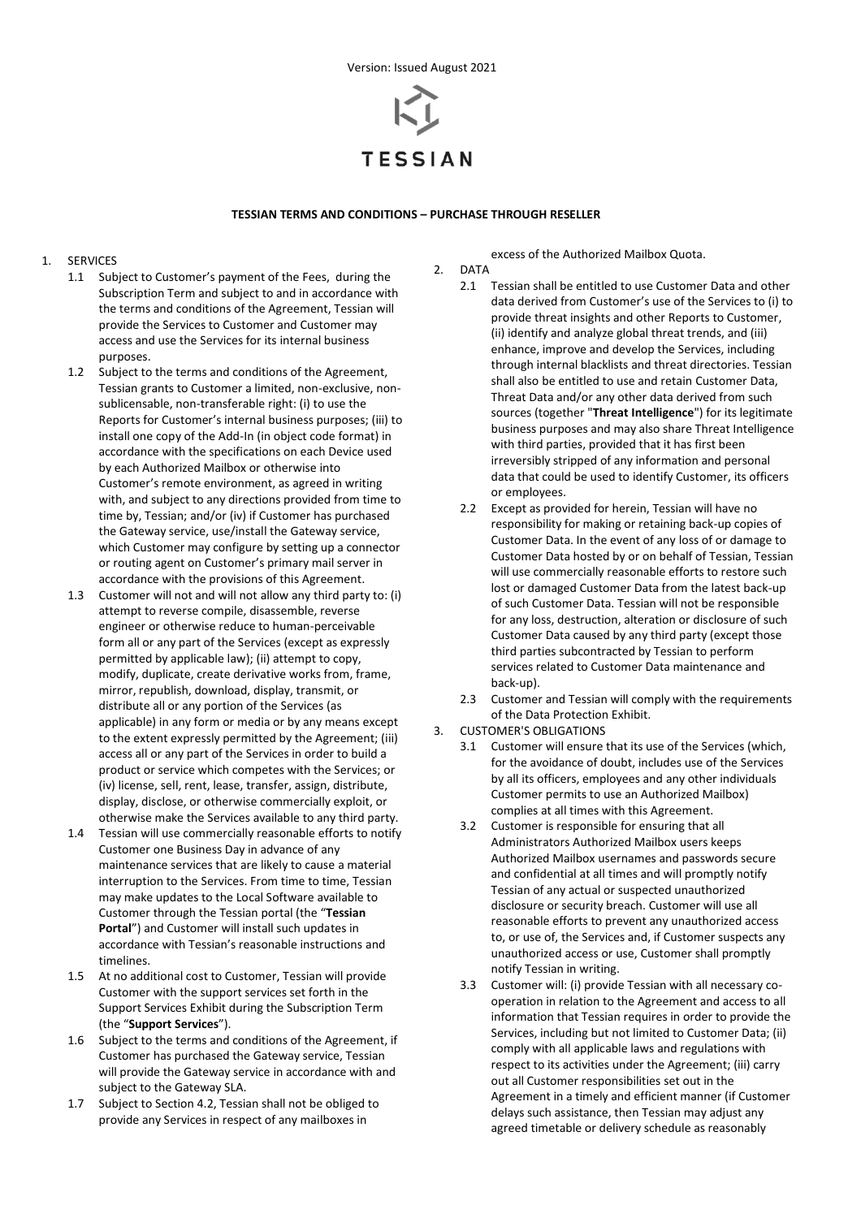

# **TESSIAN TERMS AND CONDITIONS – PURCHASE THROUGH RESELLER**

# 1. SERVICES

- 1.1 Subject to Customer's payment of the Fees, during the Subscription Term and subject to and in accordance with the terms and conditions of the Agreement, Tessian will provide the Services to Customer and Customer may access and use the Services for its internal business purposes.
- 1.2 Subject to the terms and conditions of the Agreement, Tessian grants to Customer a limited, non-exclusive, nonsublicensable, non-transferable right: (i) to use the Reports for Customer's internal business purposes; (iii) to install one copy of the Add-In (in object code format) in accordance with the specifications on each Device used by each Authorized Mailbox or otherwise into Customer's remote environment, as agreed in writing with, and subject to any directions provided from time to time by, Tessian; and/or (iv) if Customer has purchased the Gateway service, use/install the Gateway service, which Customer may configure by setting up a connector or routing agent on Customer's primary mail server in accordance with the provisions of this Agreement.
- 1.3 Customer will not and will not allow any third party to: (i) attempt to reverse compile, disassemble, reverse engineer or otherwise reduce to human-perceivable form all or any part of the Services (except as expressly permitted by applicable law); (ii) attempt to copy, modify, duplicate, create derivative works from, frame, mirror, republish, download, display, transmit, or distribute all or any portion of the Services (as applicable) in any form or media or by any means except to the extent expressly permitted by the Agreement; (iii) access all or any part of the Services in order to build a product or service which competes with the Services; or (iv) license, sell, rent, lease, transfer, assign, distribute, display, disclose, or otherwise commercially exploit, or otherwise make the Services available to any third party.
- 1.4 Tessian will use commercially reasonable efforts to notify Customer one Business Day in advance of any maintenance services that are likely to cause a material interruption to the Services. From time to time, Tessian may make updates to the Local Software available to Customer through the Tessian portal (the "**Tessian Portal**") and Customer will install such updates in accordance with Tessian's reasonable instructions and timelines.
- 1.5 At no additional cost to Customer, Tessian will provide Customer with the support services set forth in the Support Services Exhibit during the Subscription Term (the "**Support Services**").
- 1.6 Subject to the terms and conditions of the Agreement, if Customer has purchased the Gateway service, Tessian will provide the Gateway service in accordance with and subject to the Gateway SLA.
- 1.7 Subject to Section 4.2, Tessian shall not be obliged to provide any Services in respect of any mailboxes in

excess of the Authorized Mailbox Quota.

- 2. DATA
	- 2.1 Tessian shall be entitled to use Customer Data and other data derived from Customer's use of the Services to (i) to provide threat insights and other Reports to Customer, (ii) identify and analyze global threat trends, and (iii) enhance, improve and develop the Services, including through internal blacklists and threat directories. Tessian shall also be entitled to use and retain Customer Data, Threat Data and/or any other data derived from such sources (together "**Threat Intelligence**") for its legitimate business purposes and may also share Threat Intelligence with third parties, provided that it has first been irreversibly stripped of any information and personal data that could be used to identify Customer, its officers or employees.
	- 2.2 Except as provided for herein, Tessian will have no responsibility for making or retaining back-up copies of Customer Data. In the event of any loss of or damage to Customer Data hosted by or on behalf of Tessian, Tessian will use commercially reasonable efforts to restore such lost or damaged Customer Data from the latest back-up of such Customer Data. Tessian will not be responsible for any loss, destruction, alteration or disclosure of such Customer Data caused by any third party (except those third parties subcontracted by Tessian to perform services related to Customer Data maintenance and back-up).
	- 2.3 Customer and Tessian will comply with the requirements of the Data Protection Exhibit.
- 3. CUSTOMER'S OBLIGATIONS
	- 3.1 Customer will ensure that its use of the Services (which, for the avoidance of doubt, includes use of the Services by all its officers, employees and any other individuals Customer permits to use an Authorized Mailbox) complies at all times with this Agreement.
	- 3.2 Customer is responsible for ensuring that all Administrators Authorized Mailbox users keeps Authorized Mailbox usernames and passwords secure and confidential at all times and will promptly notify Tessian of any actual or suspected unauthorized disclosure or security breach. Customer will use all reasonable efforts to prevent any unauthorized access to, or use of, the Services and, if Customer suspects any unauthorized access or use, Customer shall promptly notify Tessian in writing.
	- 3.3 Customer will: (i) provide Tessian with all necessary cooperation in relation to the Agreement and access to all information that Tessian requires in order to provide the Services, including but not limited to Customer Data; (ii) comply with all applicable laws and regulations with respect to its activities under the Agreement; (iii) carry out all Customer responsibilities set out in the Agreement in a timely and efficient manner (if Customer delays such assistance, then Tessian may adjust any agreed timetable or delivery schedule as reasonably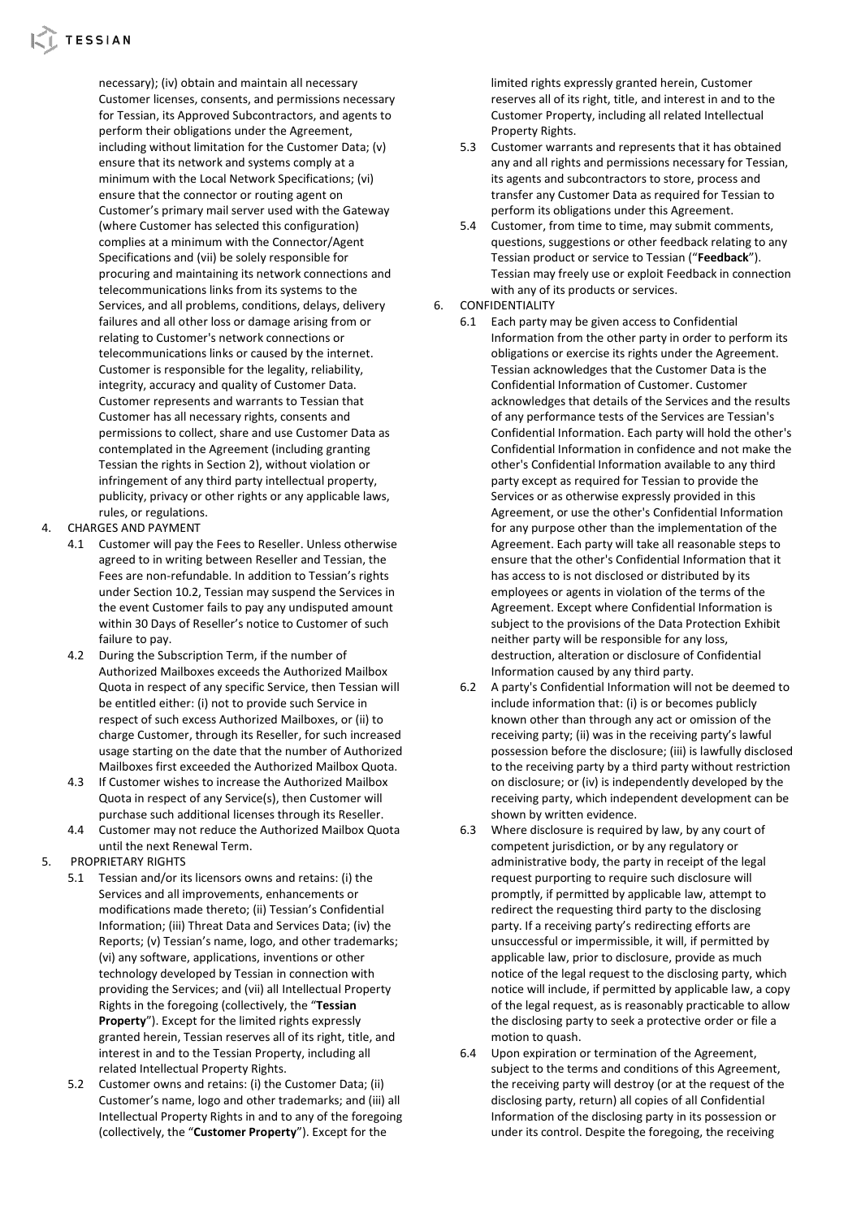

necessary); (iv) obtain and maintain all necessary Customer licenses, consents, and permissions necessary for Tessian, its Approved Subcontractors, and agents to perform their obligations under the Agreement, including without limitation for the Customer Data; (v) ensure that its network and systems comply at a minimum with the Local Network Specifications; (vi) ensure that the connector or routing agent on Customer's primary mail server used with the Gateway (where Customer has selected this configuration) complies at a minimum with the Connector/Agent Specifications and (vii) be solely responsible for procuring and maintaining its network connections and telecommunications links from its systems to the Services, and all problems, conditions, delays, delivery failures and all other loss or damage arising from or relating to Customer's network connections or telecommunications links or caused by the internet. Customer is responsible for the legality, reliability, integrity, accuracy and quality of Customer Data. Customer represents and warrants to Tessian that Customer has all necessary rights, consents and permissions to collect, share and use Customer Data as contemplated in the Agreement (including granting Tessian the rights in Section 2), without violation or infringement of any third party intellectual property, publicity, privacy or other rights or any applicable laws, rules, or regulations.

- 4. CHARGES AND PAYMENT
	- 4.1 Customer will pay the Fees to Reseller. Unless otherwise agreed to in writing between Reseller and Tessian, the Fees are non-refundable. In addition to Tessian's rights under Section 10.2, Tessian may suspend the Services in the event Customer fails to pay any undisputed amount within 30 Days of Reseller's notice to Customer of such failure to pay.
	- 4.2 During the Subscription Term, if the number of Authorized Mailboxes exceeds the Authorized Mailbox Quota in respect of any specific Service, then Tessian will be entitled either: (i) not to provide such Service in respect of such excess Authorized Mailboxes, or (ii) to charge Customer, through its Reseller, for such increased usage starting on the date that the number of Authorized Mailboxes first exceeded the Authorized Mailbox Quota.
	- 4.3 If Customer wishes to increase the Authorized Mailbox Quota in respect of any Service(s), then Customer will purchase such additional licenses through its Reseller.
	- 4.4 Customer may not reduce the Authorized Mailbox Quota until the next Renewal Term.
- 5. PROPRIETARY RIGHTS
	- 5.1 Tessian and/or its licensors owns and retains: (i) the Services and all improvements, enhancements or modifications made thereto; (ii) Tessian's Confidential Information; (iii) Threat Data and Services Data; (iv) the Reports; (v) Tessian's name, logo, and other trademarks; (vi) any software, applications, inventions or other technology developed by Tessian in connection with providing the Services; and (vii) all Intellectual Property Rights in the foregoing (collectively, the "**Tessian Property**"). Except for the limited rights expressly granted herein, Tessian reserves all of its right, title, and interest in and to the Tessian Property, including all related Intellectual Property Rights.
		- 5.2 Customer owns and retains: (i) the Customer Data; (ii) Customer's name, logo and other trademarks; and (iii) all Intellectual Property Rights in and to any of the foregoing (collectively, the "**Customer Property**"). Except for the

limited rights expressly granted herein, Customer reserves all of its right, title, and interest in and to the Customer Property, including all related Intellectual Property Rights.

- 5.3 Customer warrants and represents that it has obtained any and all rights and permissions necessary for Tessian, its agents and subcontractors to store, process and transfer any Customer Data as required for Tessian to perform its obligations under this Agreement.
- 5.4 Customer, from time to time, may submit comments, questions, suggestions or other feedback relating to any Tessian product or service to Tessian ("**Feedback**"). Tessian may freely use or exploit Feedback in connection with any of its products or services.
- 6. CONFIDENTIALITY
	- 6.1 Each party may be given access to Confidential Information from the other party in order to perform its obligations or exercise its rights under the Agreement. Tessian acknowledges that the Customer Data is the Confidential Information of Customer. Customer acknowledges that details of the Services and the results of any performance tests of the Services are Tessian's Confidential Information. Each party will hold the other's Confidential Information in confidence and not make the other's Confidential Information available to any third party except as required for Tessian to provide the Services or as otherwise expressly provided in this Agreement, or use the other's Confidential Information for any purpose other than the implementation of the Agreement. Each party will take all reasonable steps to ensure that the other's Confidential Information that it has access to is not disclosed or distributed by its employees or agents in violation of the terms of the Agreement. Except where Confidential Information is subject to the provisions of the Data Protection Exhibit neither party will be responsible for any loss, destruction, alteration or disclosure of Confidential Information caused by any third party.
	- 6.2 A party's Confidential Information will not be deemed to include information that: (i) is or becomes publicly known other than through any act or omission of the receiving party; (ii) was in the receiving party's lawful possession before the disclosure; (iii) is lawfully disclosed to the receiving party by a third party without restriction on disclosure; or (iv) is independently developed by the receiving party, which independent development can be shown by written evidence.
	- 6.3 Where disclosure is required by law, by any court of competent jurisdiction, or by any regulatory or administrative body, the party in receipt of the legal request purporting to require such disclosure will promptly, if permitted by applicable law, attempt to redirect the requesting third party to the disclosing party. If a receiving party's redirecting efforts are unsuccessful or impermissible, it will, if permitted by applicable law, prior to disclosure, provide as much notice of the legal request to the disclosing party, which notice will include, if permitted by applicable law, a copy of the legal request, as is reasonably practicable to allow the disclosing party to seek a protective order or file a motion to quash.
	- 6.4 Upon expiration or termination of the Agreement, subject to the terms and conditions of this Agreement, the receiving party will destroy (or at the request of the disclosing party, return) all copies of all Confidential Information of the disclosing party in its possession or under its control. Despite the foregoing, the receiving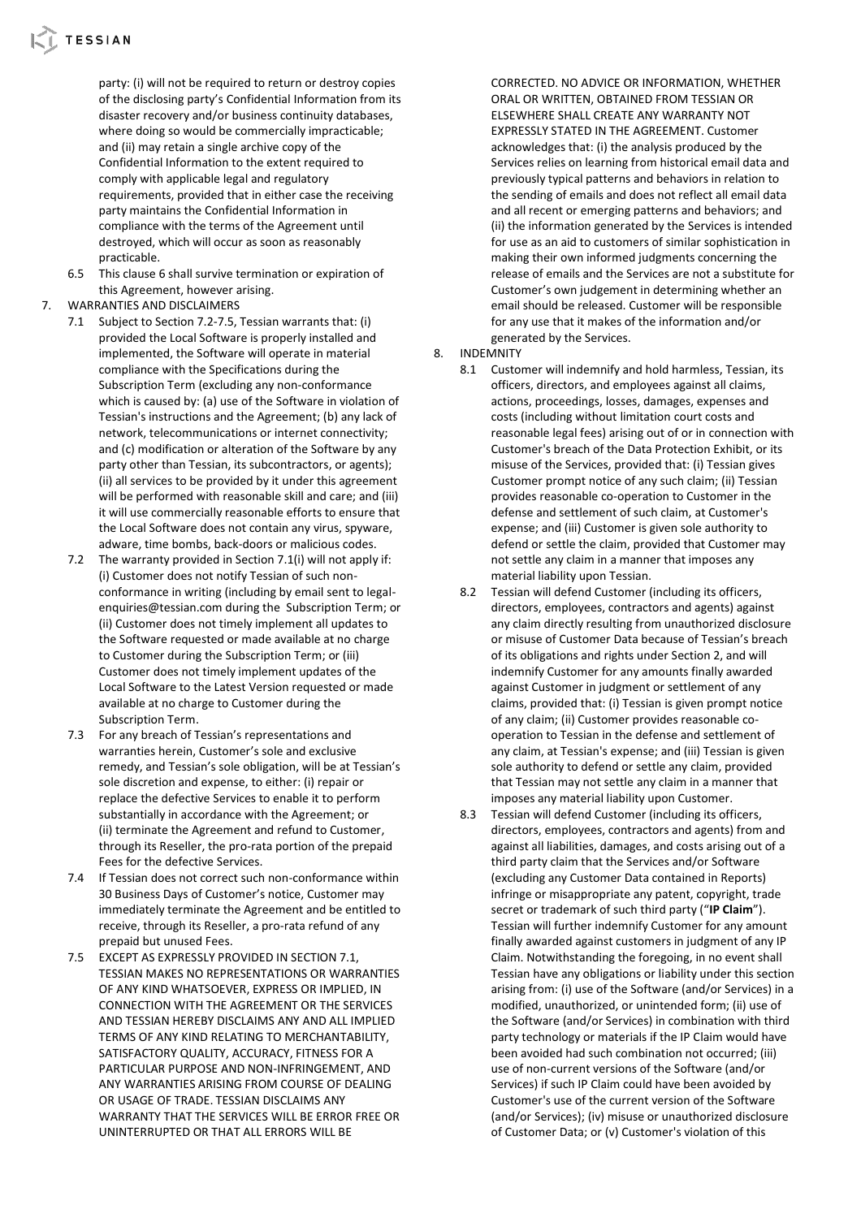party: (i) will not be required to return or destroy copies of the disclosing party's Confidential Information from its disaster recovery and/or business continuity databases, where doing so would be commercially impracticable; and (ii) may retain a single archive copy of the Confidential Information to the extent required to comply with applicable legal and regulatory requirements, provided that in either case the receiving party maintains the Confidential Information in compliance with the terms of the Agreement until destroyed, which will occur as soon as reasonably practicable.

- 6.5 This clause 6 shall survive termination or expiration of this Agreement, however arising.
- 7. WARRANTIES AND DISCLAIMERS
	- 7.1 Subject to Section 7.2-7.5, Tessian warrants that: (i) provided the Local Software is properly installed and implemented, the Software will operate in material compliance with the Specifications during the Subscription Term (excluding any non-conformance which is caused by: (a) use of the Software in violation of Tessian's instructions and the Agreement; (b) any lack of network, telecommunications or internet connectivity; and (c) modification or alteration of the Software by any party other than Tessian, its subcontractors, or agents); (ii) all services to be provided by it under this agreement will be performed with reasonable skill and care; and (iii) it will use commercially reasonable efforts to ensure that the Local Software does not contain any virus, spyware, adware, time bombs, back-doors or malicious codes.
	- 7.2 The warranty provided in Section 7.1(i) will not apply if: (i) Customer does not notify Tessian of such nonconformance in writing (including by email sent to legalenquiries@tessian.com during the Subscription Term; or (ii) Customer does not timely implement all updates to the Software requested or made available at no charge to Customer during the Subscription Term; or (iii) Customer does not timely implement updates of the Local Software to the Latest Version requested or made available at no charge to Customer during the Subscription Term.
	- 7.3 For any breach of Tessian's representations and warranties herein, Customer's sole and exclusive remedy, and Tessian's sole obligation, will be at Tessian's sole discretion and expense, to either: (i) repair or replace the defective Services to enable it to perform substantially in accordance with the Agreement; or (ii) terminate the Agreement and refund to Customer, through its Reseller, the pro-rata portion of the prepaid Fees for the defective Services.
	- 7.4 If Tessian does not correct such non-conformance within 30 Business Days of Customer's notice, Customer may immediately terminate the Agreement and be entitled to receive, through its Reseller, a pro-rata refund of any prepaid but unused Fees.
	- 7.5 EXCEPT AS EXPRESSLY PROVIDED IN SECTION 7.1, TESSIAN MAKES NO REPRESENTATIONS OR WARRANTIES OF ANY KIND WHATSOEVER, EXPRESS OR IMPLIED, IN CONNECTION WITH THE AGREEMENT OR THE SERVICES AND TESSIAN HEREBY DISCLAIMS ANY AND ALL IMPLIED TERMS OF ANY KIND RELATING TO MERCHANTABILITY, SATISFACTORY QUALITY, ACCURACY, FITNESS FOR A PARTICULAR PURPOSE AND NON-INFRINGEMENT, AND ANY WARRANTIES ARISING FROM COURSE OF DEALING OR USAGE OF TRADE. TESSIAN DISCLAIMS ANY WARRANTY THAT THE SERVICES WILL BE ERROR FREE OR UNINTERRUPTED OR THAT ALL ERRORS WILL BE

CORRECTED. NO ADVICE OR INFORMATION, WHETHER ORAL OR WRITTEN, OBTAINED FROM TESSIAN OR ELSEWHERE SHALL CREATE ANY WARRANTY NOT EXPRESSLY STATED IN THE AGREEMENT. Customer acknowledges that: (i) the analysis produced by the Services relies on learning from historical email data and previously typical patterns and behaviors in relation to the sending of emails and does not reflect all email data and all recent or emerging patterns and behaviors; and (ii) the information generated by the Services is intended for use as an aid to customers of similar sophistication in making their own informed judgments concerning the release of emails and the Services are not a substitute for Customer's own judgement in determining whether an email should be released. Customer will be responsible for any use that it makes of the information and/or generated by the Services.

# 8. INDEMNITY

- 8.1 Customer will indemnify and hold harmless, Tessian, its officers, directors, and employees against all claims, actions, proceedings, losses, damages, expenses and costs (including without limitation court costs and reasonable legal fees) arising out of or in connection with Customer's breach of the Data Protection Exhibit, or its misuse of the Services, provided that: (i) Tessian gives Customer prompt notice of any such claim; (ii) Tessian provides reasonable co-operation to Customer in the defense and settlement of such claim, at Customer's expense; and (iii) Customer is given sole authority to defend or settle the claim, provided that Customer may not settle any claim in a manner that imposes any material liability upon Tessian.
- 8.2 Tessian will defend Customer (including its officers, directors, employees, contractors and agents) against any claim directly resulting from unauthorized disclosure or misuse of Customer Data because of Tessian's breach of its obligations and rights under Section 2, and will indemnify Customer for any amounts finally awarded against Customer in judgment or settlement of any claims, provided that: (i) Tessian is given prompt notice of any claim; (ii) Customer provides reasonable cooperation to Tessian in the defense and settlement of any claim, at Tessian's expense; and (iii) Tessian is given sole authority to defend or settle any claim, provided that Tessian may not settle any claim in a manner that imposes any material liability upon Customer.
- 8.3 Tessian will defend Customer (including its officers, directors, employees, contractors and agents) from and against all liabilities, damages, and costs arising out of a third party claim that the Services and/or Software (excluding any Customer Data contained in Reports) infringe or misappropriate any patent, copyright, trade secret or trademark of such third party ("**IP Claim**"). Tessian will further indemnify Customer for any amount finally awarded against customers in judgment of any IP Claim. Notwithstanding the foregoing, in no event shall Tessian have any obligations or liability under this section arising from: (i) use of the Software (and/or Services) in a modified, unauthorized, or unintended form; (ii) use of the Software (and/or Services) in combination with third party technology or materials if the IP Claim would have been avoided had such combination not occurred; (iii) use of non-current versions of the Software (and/or Services) if such IP Claim could have been avoided by Customer's use of the current version of the Software (and/or Services); (iv) misuse or unauthorized disclosure of Customer Data; or (v) Customer's violation of this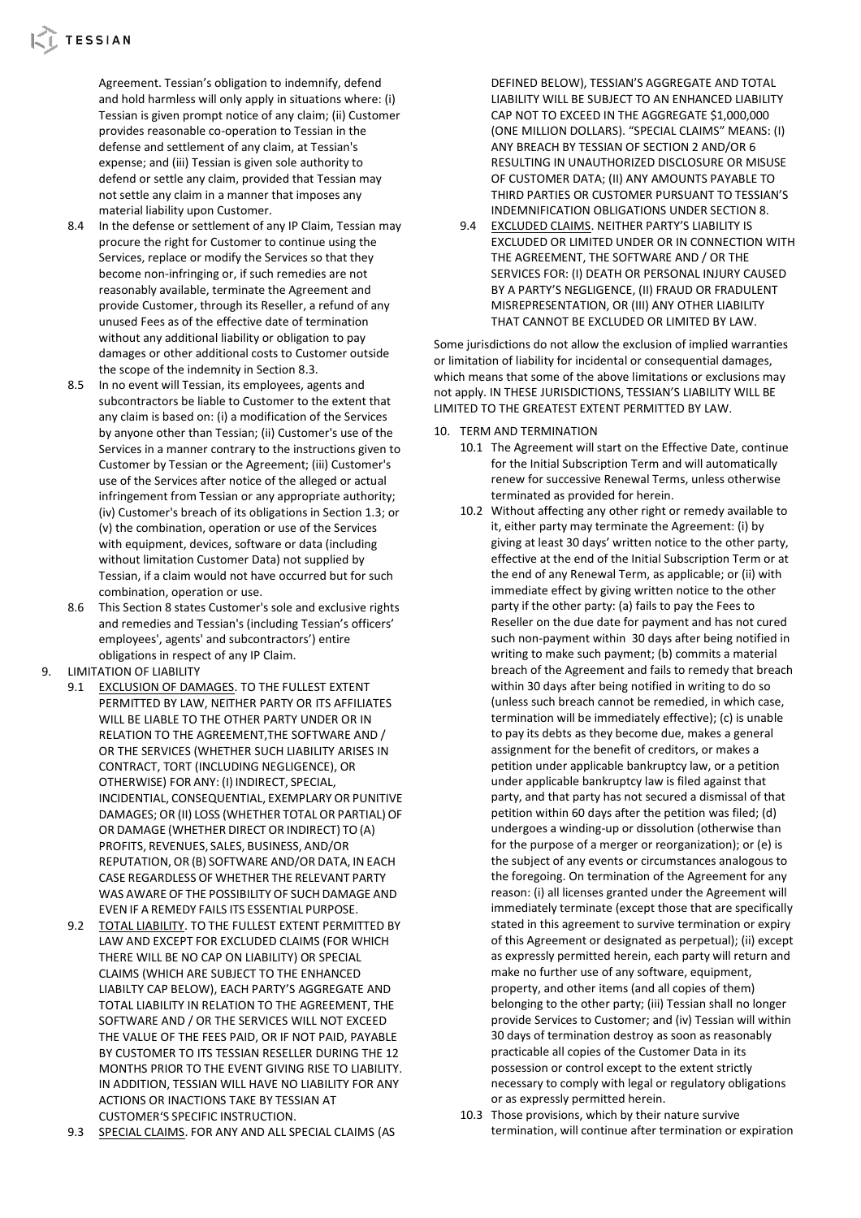Agreement. Tessian's obligation to indemnify, defend and hold harmless will only apply in situations where: (i) Tessian is given prompt notice of any claim; (ii) Customer provides reasonable co-operation to Tessian in the defense and settlement of any claim, at Tessian's expense; and (iii) Tessian is given sole authority to defend or settle any claim, provided that Tessian may not settle any claim in a manner that imposes any material liability upon Customer.

- 8.4 In the defense or settlement of any IP Claim, Tessian may procure the right for Customer to continue using the Services, replace or modify the Services so that they become non-infringing or, if such remedies are not reasonably available, terminate the Agreement and provide Customer, through its Reseller, a refund of any unused Fees as of the effective date of termination without any additional liability or obligation to pay damages or other additional costs to Customer outside the scope of the indemnity in Section 8.3.
- 8.5 In no event will Tessian, its employees, agents and subcontractors be liable to Customer to the extent that any claim is based on: (i) a modification of the Services by anyone other than Tessian; (ii) Customer's use of the Services in a manner contrary to the instructions given to Customer by Tessian or the Agreement; (iii) Customer's use of the Services after notice of the alleged or actual infringement from Tessian or any appropriate authority; (iv) Customer's breach of its obligations in Section 1.3; or (v) the combination, operation or use of the Services with equipment, devices, software or data (including without limitation Customer Data) not supplied by Tessian, if a claim would not have occurred but for such combination, operation or use.
- 8.6 This Section 8 states Customer's sole and exclusive rights and remedies and Tessian's (including Tessian's officers' employees', agents' and subcontractors') entire obligations in respect of any IP Claim.
- 9. LIMITATION OF LIABILITY
	- 9.1 EXCLUSION OF DAMAGES. TO THE FULLEST EXTENT PERMITTED BY LAW, NEITHER PARTY OR ITS AFFILIATES WILL BE LIABLE TO THE OTHER PARTY UNDER OR IN RELATION TO THE AGREEMENT,THE SOFTWARE AND / OR THE SERVICES (WHETHER SUCH LIABILITY ARISES IN CONTRACT, TORT (INCLUDING NEGLIGENCE), OR OTHERWISE) FOR ANY: (I) INDIRECT, SPECIAL, INCIDENTIAL, CONSEQUENTIAL, EXEMPLARY OR PUNITIVE DAMAGES; OR (II) LOSS (WHETHER TOTAL OR PARTIAL) OF OR DAMAGE (WHETHER DIRECT OR INDIRECT) TO (A) PROFITS, REVENUES, SALES, BUSINESS, AND/OR REPUTATION, OR (B) SOFTWARE AND/OR DATA, INEACH CASE REGARDLESS OF WHETHER THE RELEVANT PARTY WAS AWARE OF THE POSSIBILITY OF SUCH DAMAGE AND EVEN IF A REMEDY FAILS ITS ESSENTIAL PURPOSE.
	- 9.2 TOTAL LIABILITY. TO THE FULLEST EXTENT PERMITTED BY LAW AND EXCEPT FOR EXCLUDED CLAIMS (FOR WHICH THERE WILL BE NO CAP ON LIABILITY) OR SPECIAL CLAIMS (WHICH ARE SUBJECT TO THE ENHANCED LIABILTY CAP BELOW), EACH PARTY'S AGGREGATE AND TOTAL LIABILITY IN RELATION TO THE AGREEMENT, THE SOFTWARE AND / OR THE SERVICES WILL NOT EXCEED THE VALUE OF THE FEES PAID, OR IF NOT PAID, PAYABLE BY CUSTOMER TO ITS TESSIAN RESELLER DURING THE 12 MONTHS PRIOR TO THE EVENT GIVING RISE TO LIABILITY. IN ADDITION, TESSIAN WILL HAVE NO LIABILITY FOR ANY ACTIONS OR INACTIONS TAKE BY TESSIAN AT CUSTOMER'S SPECIFIC INSTRUCTION.
	- 9.3 SPECIAL CLAIMS. FOR ANY AND ALL SPECIAL CLAIMS (AS

DEFINED BELOW), TESSIAN'S AGGREGATE AND TOTAL LIABILITY WILL BE SUBJECT TO AN ENHANCED LIABILITY CAP NOT TO EXCEED IN THE AGGREGATE \$1,000,000 (ONE MILLION DOLLARS). "SPECIAL CLAIMS" MEANS: (I) ANY BREACH BY TESSIAN OF SECTION 2 AND/OR 6 RESULTING IN UNAUTHORIZED DISCLOSURE OR MISUSE OF CUSTOMER DATA; (II) ANY AMOUNTS PAYABLE TO THIRD PARTIES OR CUSTOMER PURSUANT TO TESSIAN'S INDEMNIFICATION OBLIGATIONS UNDER SECTION 8.

9.4 EXCLUDED CLAIMS. NEITHER PARTY'S LIABILITY IS EXCLUDED OR LIMITED UNDER OR IN CONNECTION WITH THE AGREEMENT, THE SOFTWARE AND / OR THE SERVICES FOR: (I) DEATH OR PERSONAL INJURY CAUSED BY A PARTY'S NEGLIGENCE, (II) FRAUD OR FRADULENT MISREPRESENTATION, OR (III) ANY OTHER LIABILITY THAT CANNOT BE EXCLUDED OR LIMITED BY LAW.

Some jurisdictions do not allow the exclusion of implied warranties or limitation of liability for incidental or consequential damages, which means that some of the above limitations or exclusions may not apply. IN THESE JURISDICTIONS, TESSIAN'S LIABILITY WILL BE LIMITED TO THE GREATEST EXTENT PERMITTED BY LAW.

- 10. TERM AND TERMINATION
	- 10.1 The Agreement will start on the Effective Date, continue for the Initial Subscription Term and will automatically renew for successive Renewal Terms, unless otherwise terminated as provided for herein.
	- 10.2 Without affecting any other right or remedy available to it, either party may terminate the Agreement: (i) by giving at least 30 days' written notice to the other party, effective at the end of the Initial Subscription Term or at the end of any Renewal Term, as applicable; or (ii) with immediate effect by giving written notice to the other party if the other party: (a) fails to pay the Fees to Reseller on the due date for payment and has not cured such non-payment within 30 days after being notified in writing to make such payment; (b) commits a material breach of the Agreement and fails to remedy that breach within 30 days after being notified in writing to do so (unless such breach cannot be remedied, in which case, termination will be immediately effective); (c) is unable to pay its debts as they become due, makes a general assignment for the benefit of creditors, or makes a petition under applicable bankruptcy law, or a petition under applicable bankruptcy law is filed against that party, and that party has not secured a dismissal of that petition within 60 days after the petition was filed; (d) undergoes a winding-up or dissolution (otherwise than for the purpose of a merger or reorganization); or (e) is the subject of any events or circumstances analogous to the foregoing. On termination of the Agreement for any reason: (i) all licenses granted under the Agreement will immediately terminate (except those that are specifically stated in this agreement to survive termination or expiry of this Agreement or designated as perpetual); (ii) except as expressly permitted herein, each party will return and make no further use of any software, equipment, property, and other items (and all copies of them) belonging to the other party; (iii) Tessian shall no longer provide Services to Customer; and (iv) Tessian will within 30 days of termination destroy as soon as reasonably practicable all copies of the Customer Data in its possession or control except to the extent strictly necessary to comply with legal or regulatory obligations or as expressly permitted herein.
	- 10.3 Those provisions, which by their nature survive termination, will continue after termination or expiration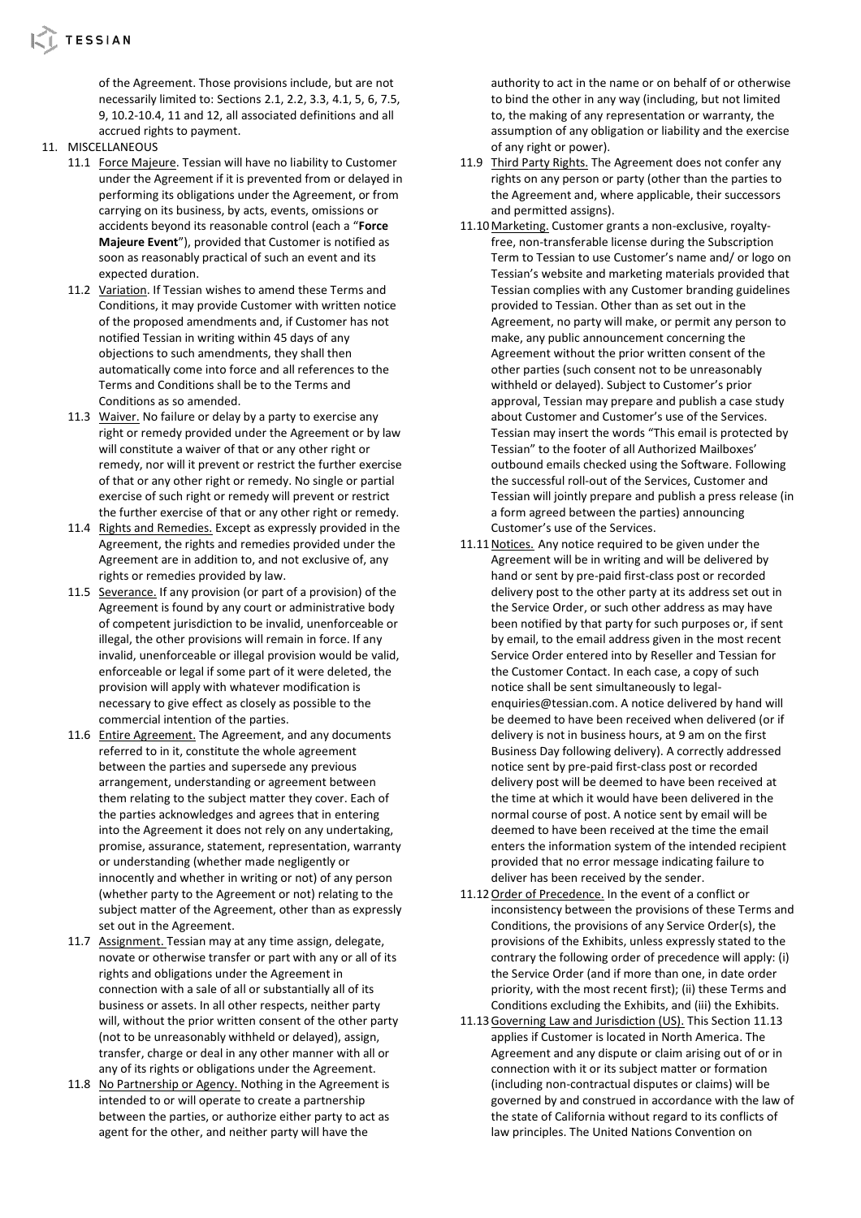

of the Agreement. Those provisions include, but are not necessarily limited to: Sections 2.1, 2.2, 3.3, 4.1, 5, 6, 7.5, 9, 10.2-10.4, 11 and 12, all associated definitions and all accrued rights to payment.

- 11. MISCELLANEOUS
	- 11.1 Force Majeure. Tessian will have no liability to Customer under the Agreement if it is prevented from or delayed in performing its obligations under the Agreement, or from carrying on its business, by acts, events, omissions or accidents beyond its reasonable control (each a "**Force Majeure Event**"), provided that Customer is notified as soon as reasonably practical of such an event and its expected duration.
	- 11.2 Variation. If Tessian wishes to amend these Terms and Conditions, it may provide Customer with written notice of the proposed amendments and, if Customer has not notified Tessian in writing within 45 days of any objections to such amendments, they shall then automatically come into force and all references to the Terms and Conditions shall be to the Terms and Conditions as so amended.
	- 11.3 Waiver. No failure or delay by a party to exercise any right or remedy provided under the Agreement or by law will constitute a waiver of that or any other right or remedy, nor will it prevent or restrict the further exercise of that or any other right or remedy. No single or partial exercise of such right or remedy will prevent or restrict the further exercise of that or any other right or remedy.
	- 11.4 Rights and Remedies. Except as expressly provided in the Agreement, the rights and remedies provided under the Agreement are in addition to, and not exclusive of, any rights or remedies provided by law.
	- 11.5 Severance. If any provision (or part of a provision) of the Agreement is found by any court or administrative body of competent jurisdiction to be invalid, unenforceable or illegal, the other provisions will remain in force. If any invalid, unenforceable or illegal provision would be valid, enforceable or legal if some part of it were deleted, the provision will apply with whatever modification is necessary to give effect as closely as possible to the commercial intention of the parties.
	- 11.6 Entire Agreement. The Agreement, and any documents referred to in it, constitute the whole agreement between the parties and supersede any previous arrangement, understanding or agreement between them relating to the subject matter they cover. Each of the parties acknowledges and agrees that in entering into the Agreement it does not rely on any undertaking, promise, assurance, statement, representation, warranty or understanding (whether made negligently or innocently and whether in writing or not) of any person (whether party to the Agreement or not) relating to the subject matter of the Agreement, other than as expressly set out in the Agreement.
	- 11.7 Assignment. Tessian may at any time assign, delegate, novate or otherwise transfer or part with any or all of its rights and obligations under the Agreement in connection with a sale of all or substantially all of its business or assets. In all other respects, neither party will, without the prior written consent of the other party (not to be unreasonably withheld or delayed), assign, transfer, charge or deal in any other manner with all or any of its rights or obligations under the Agreement.
	- 11.8 No Partnership or Agency. Nothing in the Agreement is intended to or will operate to create a partnership between the parties, or authorize either party to act as agent for the other, and neither party will have the

authority to act in the name or on behalf of or otherwise to bind the other in any way (including, but not limited to, the making of any representation or warranty, the assumption of any obligation or liability and the exercise of any right or power).

- 11.9 Third Party Rights. The Agreement does not confer any rights on any person or party (other than the parties to the Agreement and, where applicable, their successors and permitted assigns).
- 11.10Marketing. Customer grants a non-exclusive, royaltyfree, non-transferable license during the Subscription Term to Tessian to use Customer's name and/ or logo on Tessian's website and marketing materials provided that Tessian complies with any Customer branding guidelines provided to Tessian. Other than as set out in the Agreement, no party will make, or permit any person to make, any public announcement concerning the Agreement without the prior written consent of the other parties (such consent not to be unreasonably withheld or delayed). Subject to Customer's prior approval, Tessian may prepare and publish a case study about Customer and Customer's use of the Services. Tessian may insert the words "This email is protected by Tessian" to the footer of all Authorized Mailboxes' outbound emails checked using the Software. Following the successful roll-out of the Services, Customer and Tessian will jointly prepare and publish a press release (in a form agreed between the parties) announcing Customer's use of the Services.
- 11.11Notices. Any notice required to be given under the Agreement will be in writing and will be delivered by hand or sent by pre-paid first-class post or recorded delivery post to the other party at its address set out in the Service Order, or such other address as may have been notified by that party for such purposes or, if sent by email, to the email address given in the most recent Service Order entered into by Reseller and Tessian for the Customer Contact. In each case, a copy of such notice shall be sent simultaneously to legalenquiries@tessian.com. A notice delivered by hand will be deemed to have been received when delivered (or if delivery is not in business hours, at 9 am on the first Business Day following delivery). A correctly addressed notice sent by pre-paid first-class post or recorded delivery post will be deemed to have been received at the time at which it would have been delivered in the normal course of post. A notice sent by email will be deemed to have been received at the time the email enters the information system of the intended recipient provided that no error message indicating failure to deliver has been received by the sender.
- 11.12 Order of Precedence. In the event of a conflict or inconsistency between the provisions of these Terms and Conditions, the provisions of any Service Order(s), the provisions of the Exhibits, unless expressly stated to the contrary the following order of precedence will apply: (i) the Service Order (and if more than one, in date order priority, with the most recent first); (ii) these Terms and Conditions excluding the Exhibits, and (iii) the Exhibits.
- 11.13 Governing Law and Jurisdiction (US). This Section 11.13 applies if Customer is located in North America. The Agreement and any dispute or claim arising out of or in connection with it or its subject matter or formation (including non-contractual disputes or claims) will be governed by and construed in accordance with the law of the state of California without regard to its conflicts of law principles. The United Nations Convention on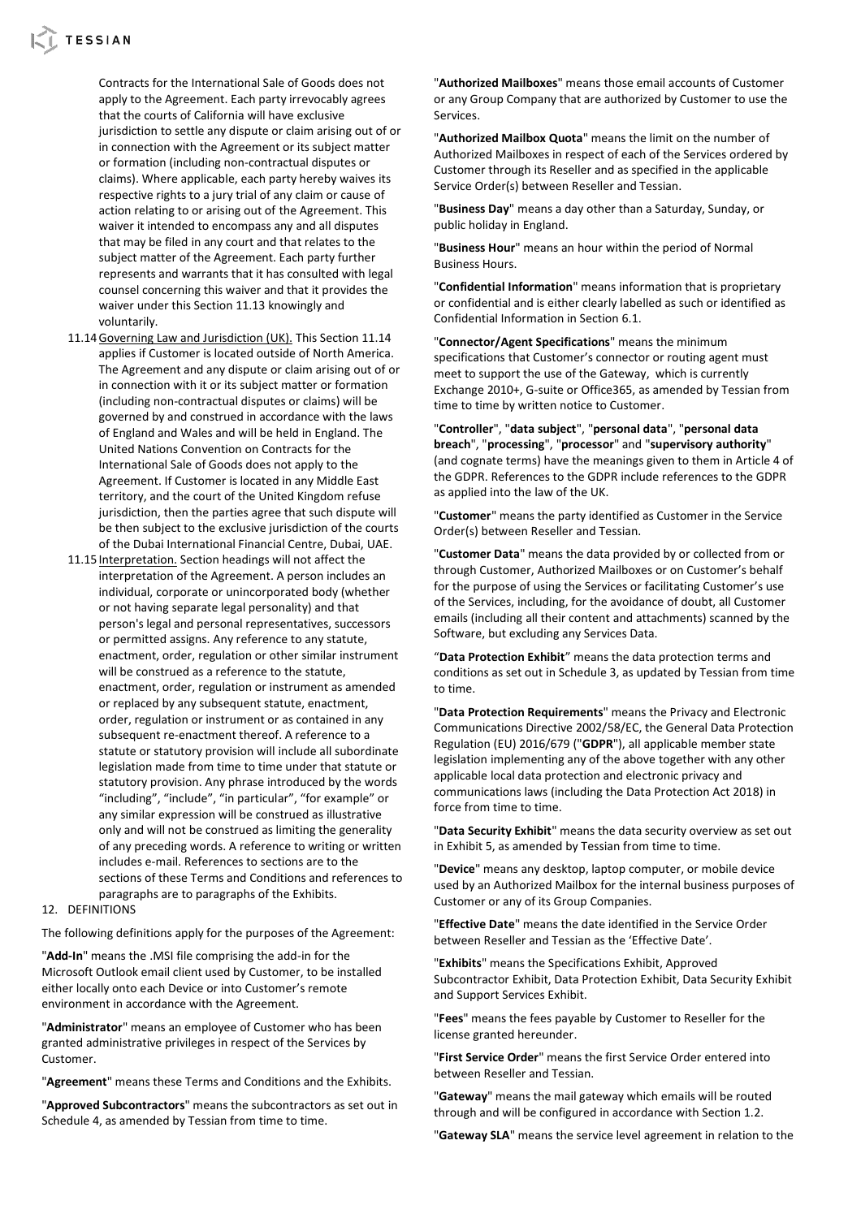# **L** TESSIAN

Contracts for the International Sale of Goods does not apply to the Agreement. Each party irrevocably agrees that the courts of California will have exclusive jurisdiction to settle any dispute or claim arising out of or in connection with the Agreement or its subject matter or formation (including non-contractual disputes or claims). Where applicable, each party hereby waives its respective rights to a jury trial of any claim or cause of action relating to or arising out of the Agreement. This waiver it intended to encompass any and all disputes that may be filed in any court and that relates to the subject matter of the Agreement. Each party further represents and warrants that it has consulted with legal counsel concerning this waiver and that it provides the waiver under this Section 11.13 knowingly and voluntarily.

- 11.14Governing Law and Jurisdiction (UK). This Section 11.14 applies if Customer is located outside of North America. The Agreement and any dispute or claim arising out of or in connection with it or its subject matter or formation (including non-contractual disputes or claims) will be governed by and construed in accordance with the laws of England and Wales and will be held in England. The United Nations Convention on Contracts for the International Sale of Goods does not apply to the Agreement. If Customer is located in any Middle East territory, and the court of the United Kingdom refuse jurisdiction, then the parties agree that such dispute will be then subject to the exclusive jurisdiction of the courts of the Dubai International Financial Centre, Dubai, UAE.
- 11.15 Interpretation. Section headings will not affect the interpretation of the Agreement. A person includes an individual, corporate or unincorporated body (whether or not having separate legal personality) and that person's legal and personal representatives, successors or permitted assigns. Any reference to any statute, enactment, order, regulation or other similar instrument will be construed as a reference to the statute, enactment, order, regulation or instrument as amended or replaced by any subsequent statute, enactment, order, regulation or instrument or as contained in any subsequent re-enactment thereof. A reference to a statute or statutory provision will include all subordinate legislation made from time to time under that statute or statutory provision. Any phrase introduced by the words "including", "include", "in particular", "for example" or any similar expression will be construed as illustrative only and will not be construed as limiting the generality of any preceding words. A reference to writing or written includes e-mail. References to sections are to the sections of these Terms and Conditions and references to paragraphs are to paragraphs of the Exhibits.

#### 12. DEFINITIONS

The following definitions apply for the purposes of the Agreement:

"**Add-In**" means the .MSI file comprising the add-in for the Microsoft Outlook email client used by Customer, to be installed either locally onto each Device or into Customer's remote environment in accordance with the Agreement.

"**Administrator**" means an employee of Customer who has been granted administrative privileges in respect of the Services by Customer.

"**Agreement**" means these Terms and Conditions and the Exhibits.

"**Approved Subcontractors**" means the subcontractors as set out in Schedule 4, as amended by Tessian from time to time.

"**Authorized Mailboxes**" means those email accounts of Customer or any Group Company that are authorized by Customer to use the Services.

"**Authorized Mailbox Quota**" means the limit on the number of Authorized Mailboxes in respect of each of the Services ordered by Customer through its Reseller and as specified in the applicable Service Order(s) between Reseller and Tessian.

"**Business Day**" means a day other than a Saturday, Sunday, or public holiday in England.

"**Business Hour**" means an hour within the period of Normal Business Hours.

"**Confidential Information**" means information that is proprietary or confidential and is either clearly labelled as such or identified as Confidential Information in Section 6.1.

"**Connector/Agent Specifications**" means the minimum specifications that Customer's connector or routing agent must meet to support the use of the Gateway, which is currently Exchange 2010+, G-suite or Office365, as amended by Tessian from time to time by written notice to Customer.

"**Controller**", "**data subject**", "**personal data**", "**personal data breach**", "**processing**", "**processor**" and "**supervisory authority**" (and cognate terms) have the meanings given to them in Article 4 of the GDPR. References to the GDPR include references to the GDPR as applied into the law of the UK.

"**Customer**" means the party identified as Customer in the Service Order(s) between Reseller and Tessian.

"**Customer Data**" means the data provided by or collected from or through Customer, Authorized Mailboxes or on Customer's behalf for the purpose of using the Services or facilitating Customer's use of the Services, including, for the avoidance of doubt, all Customer emails (including all their content and attachments) scanned by the Software, but excluding any Services Data.

"**Data Protection Exhibit**" means the data protection terms and conditions as set out in Schedule 3, as updated by Tessian from time to time.

"**Data Protection Requirements**" means the Privacy and Electronic Communications Directive 2002/58/EC, the General Data Protection Regulation (EU) 2016/679 ("**GDPR**"), all applicable member state legislation implementing any of the above together with any other applicable local data protection and electronic privacy and communications laws (including the Data Protection Act 2018) in force from time to time.

"**Data Security Exhibit**" means the data security overview as set out in Exhibit 5, as amended by Tessian from time to time.

"**Device**" means any desktop, laptop computer, or mobile device used by an Authorized Mailbox for the internal business purposes of Customer or any of its Group Companies.

"**Effective Date**" means the date identified in the Service Order between Reseller and Tessian as the 'Effective Date'.

"**Exhibits**" means the Specifications Exhibit, Approved Subcontractor Exhibit, Data Protection Exhibit, Data Security Exhibit and Support Services Exhibit.

"**Fees**" means the fees payable by Customer to Reseller for the license granted hereunder.

"**First Service Order**" means the first Service Order entered into between Reseller and Tessian.

"**Gateway**" means the mail gateway which emails will be routed through and will be configured in accordance with Section 1.2.

"**Gateway SLA**" means the service level agreement in relation to the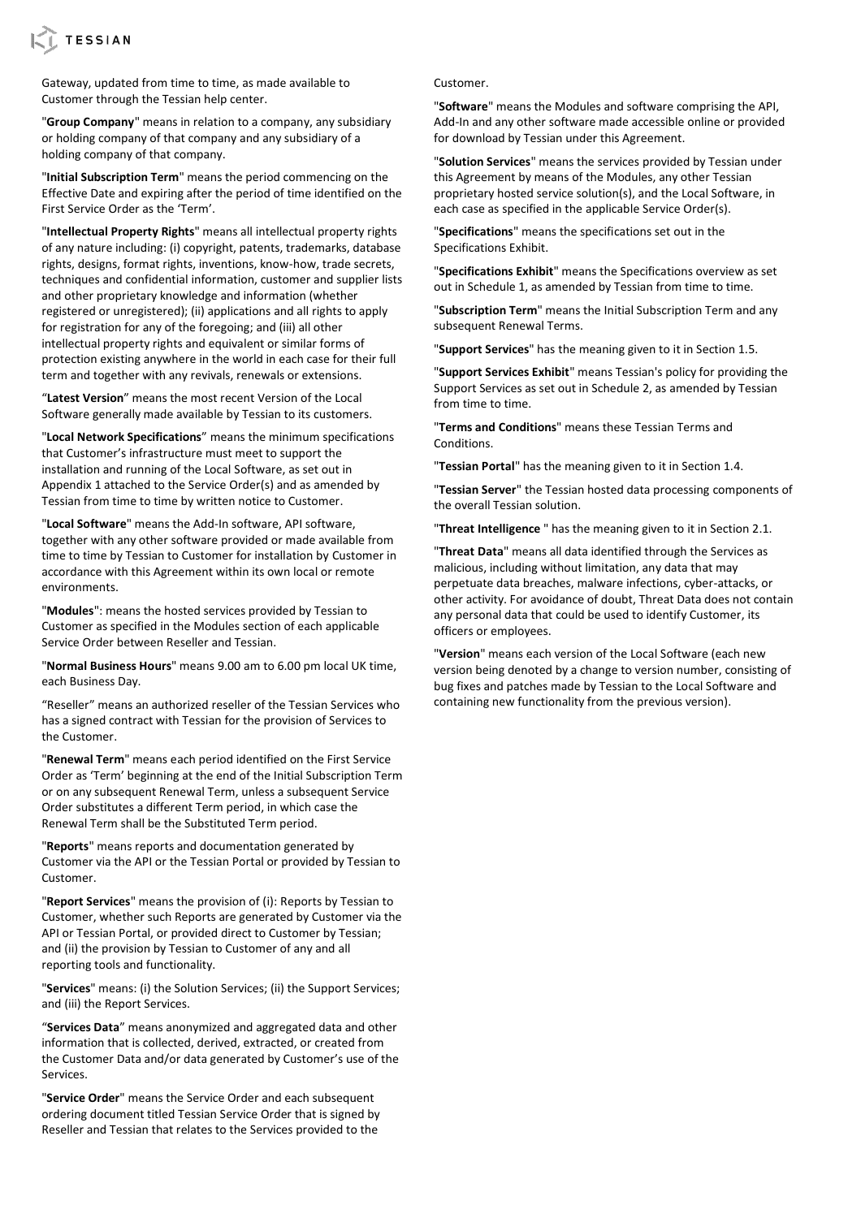

Gateway, updated from time to time, as made available to Customer through the Tessian help center.

"**Group Company**" means in relation to a company, any subsidiary or holding company of that company and any subsidiary of a holding company of that company.

"**Initial Subscription Term**" means the period commencing on the Effective Date and expiring after the period of time identified on the First Service Order as the 'Term'.

"**Intellectual Property Rights**" means all intellectual property rights of any nature including: (i) copyright, patents, trademarks, database rights, designs, format rights, inventions, know-how, trade secrets, techniques and confidential information, customer and supplier lists and other proprietary knowledge and information (whether registered or unregistered); (ii) applications and all rights to apply for registration for any of the foregoing; and (iii) all other intellectual property rights and equivalent or similar forms of protection existing anywhere in the world in each case for their full term and together with any revivals, renewals or extensions.

"**Latest Version**" means the most recent Version of the Local Software generally made available by Tessian to its customers.

"**Local Network Specifications**" means the minimum specifications that Customer's infrastructure must meet to support the installation and running of the Local Software, as set out in Appendix 1 attached to the Service Order(s) and as amended by Tessian from time to time by written notice to Customer.

"**Local Software**" means the Add-In software, API software, together with any other software provided or made available from time to time by Tessian to Customer for installation by Customer in accordance with this Agreement within its own local or remote environments.

"**Modules**": means the hosted services provided by Tessian to Customer as specified in the Modules section of each applicable Service Order between Reseller and Tessian.

"**Normal Business Hours**" means 9.00 am to 6.00 pm local UK time, each Business Day.

"Reseller" means an authorized reseller of the Tessian Services who has a signed contract with Tessian for the provision of Services to the Customer.

"**Renewal Term**" means each period identified on the First Service Order as 'Term' beginning at the end of the Initial Subscription Term or on any subsequent Renewal Term, unless a subsequent Service Order substitutes a different Term period, in which case the Renewal Term shall be the Substituted Term period.

"**Reports**" means reports and documentation generated by Customer via the API or the Tessian Portal or provided by Tessian to Customer.

"**Report Services**" means the provision of (i): Reports by Tessian to Customer, whether such Reports are generated by Customer via the API or Tessian Portal, or provided direct to Customer by Tessian; and (ii) the provision by Tessian to Customer of any and all reporting tools and functionality.

"**Services**" means: (i) the Solution Services; (ii) the Support Services; and (iii) the Report Services.

"**Services Data**" means anonymized and aggregated data and other information that is collected, derived, extracted, or created from the Customer Data and/or data generated by Customer's use of the Services.

"**Service Order**" means the Service Order and each subsequent ordering document titled Tessian Service Order that is signed by Reseller and Tessian that relates to the Services provided to the

Customer.

"**Software**" means the Modules and software comprising the API, Add-In and any other software made accessible online or provided for download by Tessian under this Agreement.

"**Solution Services**" means the services provided by Tessian under this Agreement by means of the Modules, any other Tessian proprietary hosted service solution(s), and the Local Software, in each case as specified in the applicable Service Order(s).

"**Specifications**" means the specifications set out in the Specifications Exhibit.

"**Specifications Exhibit**" means the Specifications overview as set out in Schedule 1, as amended by Tessian from time to time.

"**Subscription Term**" means the Initial Subscription Term and any subsequent Renewal Terms.

"**Support Services**" has the meaning given to it in Section 1.5.

"**Support Services Exhibit**" means Tessian's policy for providing the Support Services as set out in Schedule 2, as amended by Tessian from time to time.

"**Terms and Conditions**" means these Tessian Terms and Conditions.

"**Tessian Portal**" has the meaning given to it in Section 1.4.

"**Tessian Server**" the Tessian hosted data processing components of the overall Tessian solution.

"**Threat Intelligence** " has the meaning given to it in Section 2.1.

"**Threat Data**" means all data identified through the Services as malicious, including without limitation, any data that may perpetuate data breaches, malware infections, cyber-attacks, or other activity. For avoidance of doubt, Threat Data does not contain any personal data that could be used to identify Customer, its officers or employees.

"**Version**" means each version of the Local Software (each new version being denoted by a change to version number, consisting of bug fixes and patches made by Tessian to the Local Software and containing new functionality from the previous version).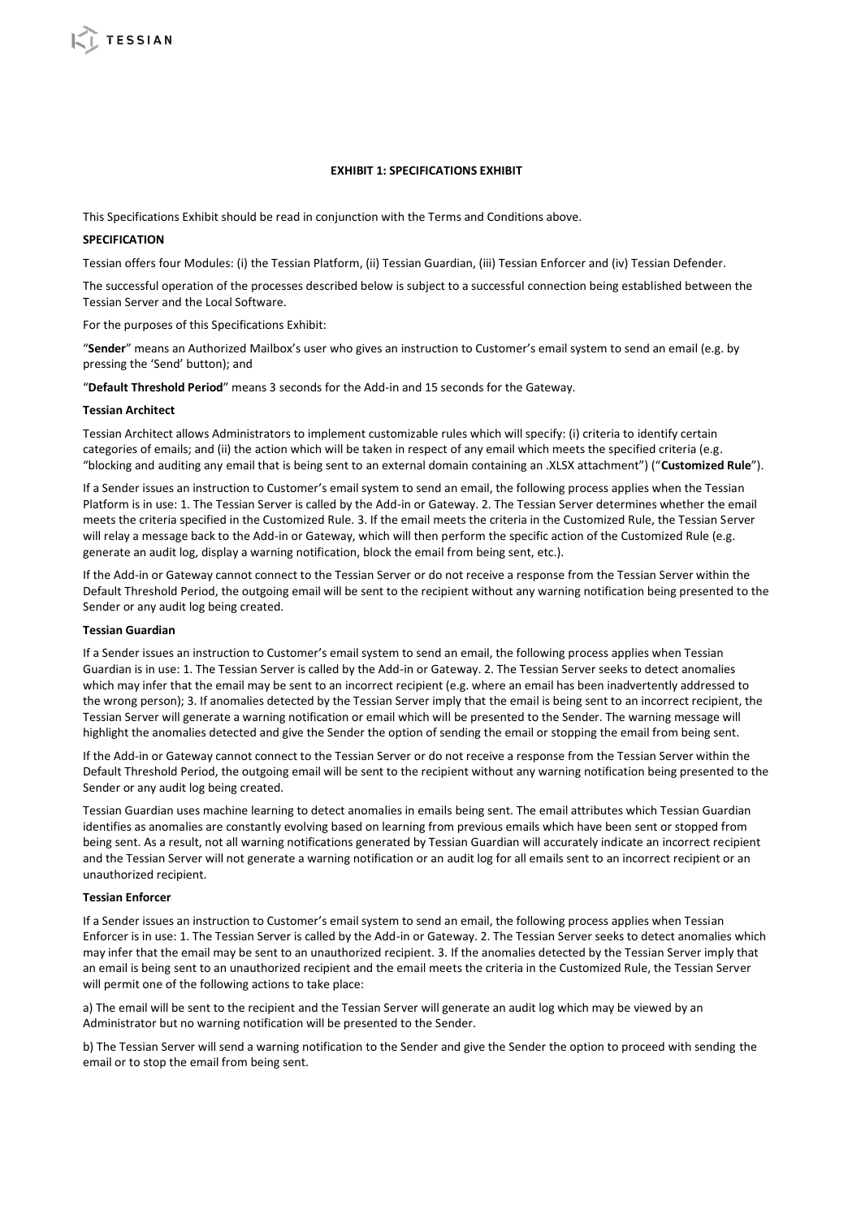#### **EXHIBIT 1: SPECIFICATIONS EXHIBIT**

This Specifications Exhibit should be read in conjunction with the Terms and Conditions above.

### **SPECIFICATION**

Tessian offers four Modules: (i) the Tessian Platform, (ii) Tessian Guardian, (iii) Tessian Enforcer and (iv) Tessian Defender.

The successful operation of the processes described below is subject to a successful connection being established between the Tessian Server and the Local Software.

For the purposes of this Specifications Exhibit:

"**Sender**" means an Authorized Mailbox's user who gives an instruction to Customer's email system to send an email (e.g. by pressing the 'Send' button); and

"**Default Threshold Period**" means 3 seconds for the Add-in and 15 seconds for the Gateway.

#### **Tessian Architect**

Tessian Architect allows Administrators to implement customizable rules which will specify: (i) criteria to identify certain categories of emails; and (ii) the action which will be taken in respect of any email which meets the specified criteria (e.g. "blocking and auditing any email that is being sent to an external domain containing an .XLSX attachment") ("**Customized Rule**").

If a Sender issues an instruction to Customer's email system to send an email, the following process applies when the Tessian Platform is in use: 1. The Tessian Server is called by the Add-in or Gateway. 2. The Tessian Server determines whether the email meets the criteria specified in the Customized Rule. 3. If the email meets the criteria in the Customized Rule, the Tessian Server will relay a message back to the Add-in or Gateway, which will then perform the specific action of the Customized Rule (e.g. generate an audit log, display a warning notification, block the email from being sent, etc.).

If the Add-in or Gateway cannot connect to the Tessian Server or do not receive a response from the Tessian Server within the Default Threshold Period, the outgoing email will be sent to the recipient without any warning notification being presented to the Sender or any audit log being created.

#### **Tessian Guardian**

If a Sender issues an instruction to Customer's email system to send an email, the following process applies when Tessian Guardian is in use: 1. The Tessian Server is called by the Add-in or Gateway. 2. The Tessian Server seeks to detect anomalies which may infer that the email may be sent to an incorrect recipient (e.g. where an email has been inadvertently addressed to the wrong person); 3. If anomalies detected by the Tessian Server imply that the email is being sent to an incorrect recipient, the Tessian Server will generate a warning notification or email which will be presented to the Sender. The warning message will highlight the anomalies detected and give the Sender the option of sending the email or stopping the email from being sent.

If the Add-in or Gateway cannot connect to the Tessian Server or do not receive a response from the Tessian Server within the Default Threshold Period, the outgoing email will be sent to the recipient without any warning notification being presented to the Sender or any audit log being created.

Tessian Guardian uses machine learning to detect anomalies in emails being sent. The email attributes which Tessian Guardian identifies as anomalies are constantly evolving based on learning from previous emails which have been sent or stopped from being sent. As a result, not all warning notifications generated by Tessian Guardian will accurately indicate an incorrect recipient and the Tessian Server will not generate a warning notification or an audit log for all emails sent to an incorrect recipient or an unauthorized recipient.

### **Tessian Enforcer**

If a Sender issues an instruction to Customer's email system to send an email, the following process applies when Tessian Enforcer is in use: 1. The Tessian Server is called by the Add-in or Gateway. 2. The Tessian Server seeks to detect anomalies which may infer that the email may be sent to an unauthorized recipient. 3. If the anomalies detected by the Tessian Server imply that an email is being sent to an unauthorized recipient and the email meets the criteria in the Customized Rule, the Tessian Server will permit one of the following actions to take place:

a) The email will be sent to the recipient and the Tessian Server will generate an audit log which may be viewed by an Administrator but no warning notification will be presented to the Sender.

b) The Tessian Server will send a warning notification to the Sender and give the Sender the option to proceed with sending the email or to stop the email from being sent.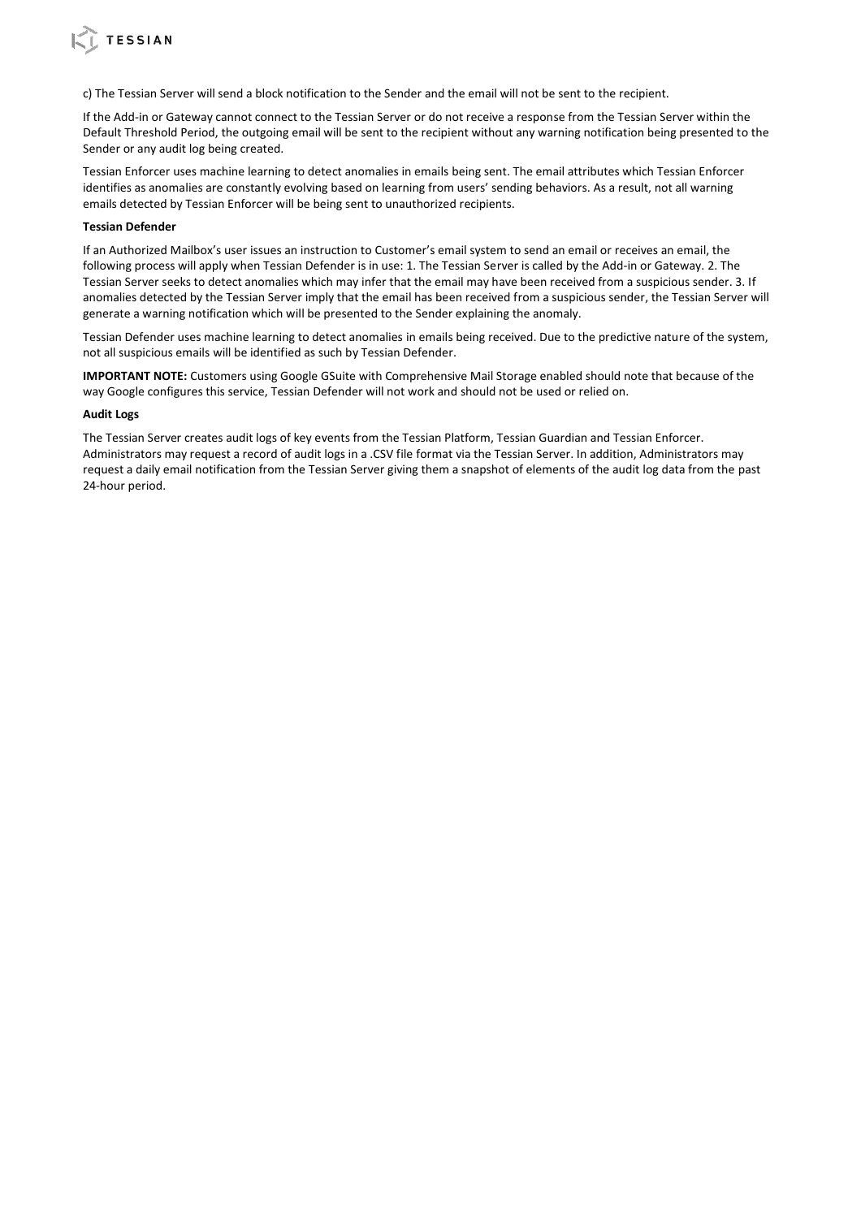

If the Add-in or Gateway cannot connect to the Tessian Server or do not receive a response from the Tessian Server within the Default Threshold Period, the outgoing email will be sent to the recipient without any warning notification being presented to the Sender or any audit log being created.

Tessian Enforcer uses machine learning to detect anomalies in emails being sent. The email attributes which Tessian Enforcer identifies as anomalies are constantly evolving based on learning from users' sending behaviors. As a result, not all warning emails detected by Tessian Enforcer will be being sent to unauthorized recipients.

# **Tessian Defender**

**CESSIAN** 

If an Authorized Mailbox's user issues an instruction to Customer's email system to send an email or receives an email, the following process will apply when Tessian Defender is in use: 1. The Tessian Server is called by the Add-in or Gateway. 2. The Tessian Server seeks to detect anomalies which may infer that the email may have been received from a suspicious sender. 3. If anomalies detected by the Tessian Server imply that the email has been received from a suspicious sender, the Tessian Server will generate a warning notification which will be presented to the Sender explaining the anomaly.

Tessian Defender uses machine learning to detect anomalies in emails being received. Due to the predictive nature of the system, not all suspicious emails will be identified as such by Tessian Defender.

**IMPORTANT NOTE:** Customers using Google GSuite with Comprehensive Mail Storage enabled should note that because of the way Google configures this service, Tessian Defender will not work and should not be used or relied on.

#### **Audit Logs**

The Tessian Server creates audit logs of key events from the Tessian Platform, Tessian Guardian and Tessian Enforcer. Administrators may request a record of audit logs in a .CSV file format via the Tessian Server. In addition, Administrators may request a daily email notification from the Tessian Server giving them a snapshot of elements of the audit log data from the past 24-hour period.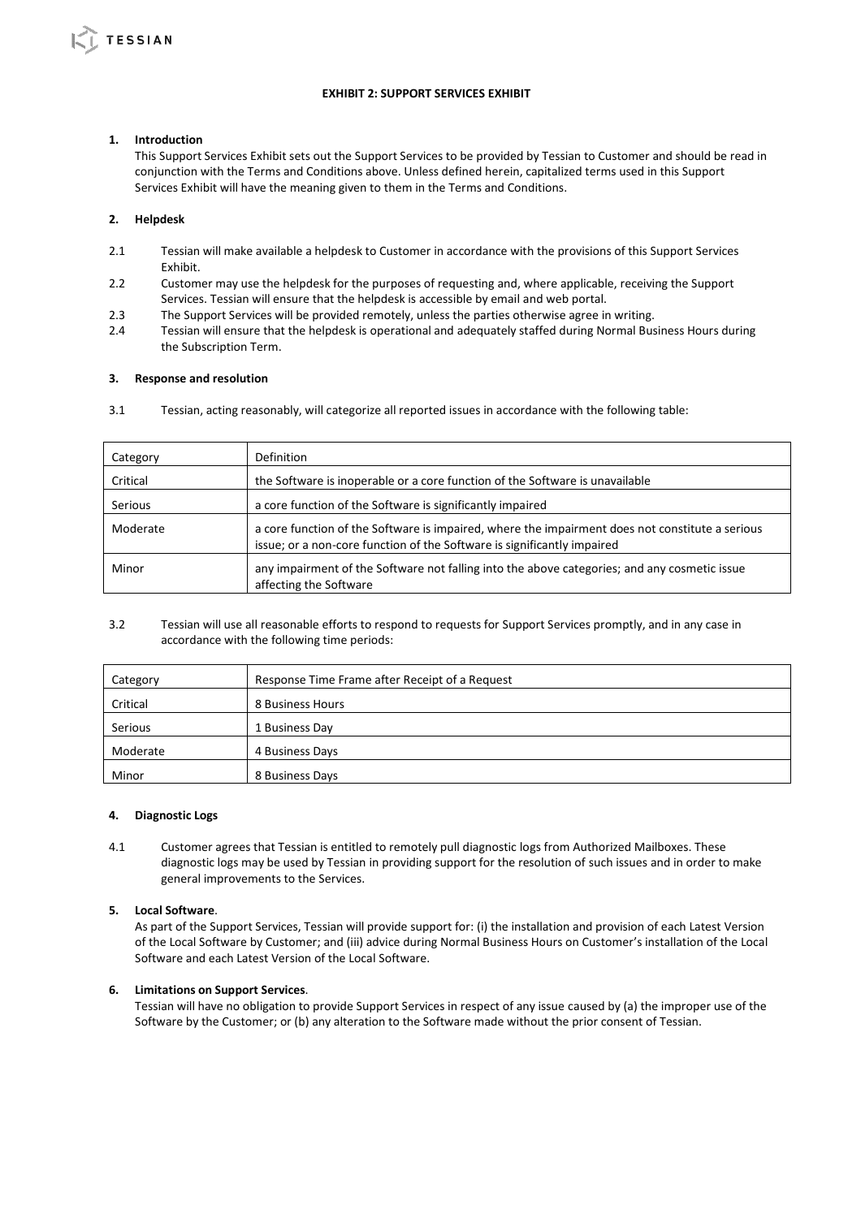# **EXHIBIT 2: SUPPORT SERVICES EXHIBIT**

# **1. Introduction**

This Support Services Exhibit sets out the Support Services to be provided by Tessian to Customer and should be read in conjunction with the Terms and Conditions above. Unless defined herein, capitalized terms used in this Support Services Exhibit will have the meaning given to them in the Terms and Conditions.

# **2. Helpdesk**

- 2.1 Tessian will make available a helpdesk to Customer in accordance with the provisions of this Support Services Exhibit.
- 2.2 Customer may use the helpdesk for the purposes of requesting and, where applicable, receiving the Support Services. Tessian will ensure that the helpdesk is accessible by email and web portal.
- 2.3 The Support Services will be provided remotely, unless the parties otherwise agree in writing.
- 2.4 Tessian will ensure that the helpdesk is operational and adequately staffed during Normal Business Hours during the Subscription Term.

# **3. Response and resolution**

3.1 Tessian, acting reasonably, will categorize all reported issues in accordance with the following table:

| Category       | Definition                                                                                                                                                                 |  |
|----------------|----------------------------------------------------------------------------------------------------------------------------------------------------------------------------|--|
| Critical       | the Software is inoperable or a core function of the Software is unavailable                                                                                               |  |
| <b>Serious</b> | a core function of the Software is significantly impaired                                                                                                                  |  |
| Moderate       | a core function of the Software is impaired, where the impairment does not constitute a serious<br>issue; or a non-core function of the Software is significantly impaired |  |
| Minor          | any impairment of the Software not falling into the above categories; and any cosmetic issue<br>affecting the Software                                                     |  |

3.2 Tessian will use all reasonable efforts to respond to requests for Support Services promptly, and in any case in accordance with the following time periods:

| Category | Response Time Frame after Receipt of a Request |  |
|----------|------------------------------------------------|--|
| Critical | 8 Business Hours                               |  |
| Serious  | 1 Business Day                                 |  |
| Moderate | 4 Business Days                                |  |
| Minor    | 8 Business Days                                |  |

#### **4. Diagnostic Logs**

4.1 Customer agrees that Tessian is entitled to remotely pull diagnostic logs from Authorized Mailboxes. These diagnostic logs may be used by Tessian in providing support for the resolution of such issues and in order to make general improvements to the Services.

#### **5. Local Software**.

As part of the Support Services, Tessian will provide support for: (i) the installation and provision of each Latest Version of the Local Software by Customer; and (iii) advice during Normal Business Hours on Customer's installation of the Local Software and each Latest Version of the Local Software.

# **6. Limitations on Support Services**.

Tessian will have no obligation to provide Support Services in respect of any issue caused by (a) the improper use of the Software by the Customer; or (b) any alteration to the Software made without the prior consent of Tessian.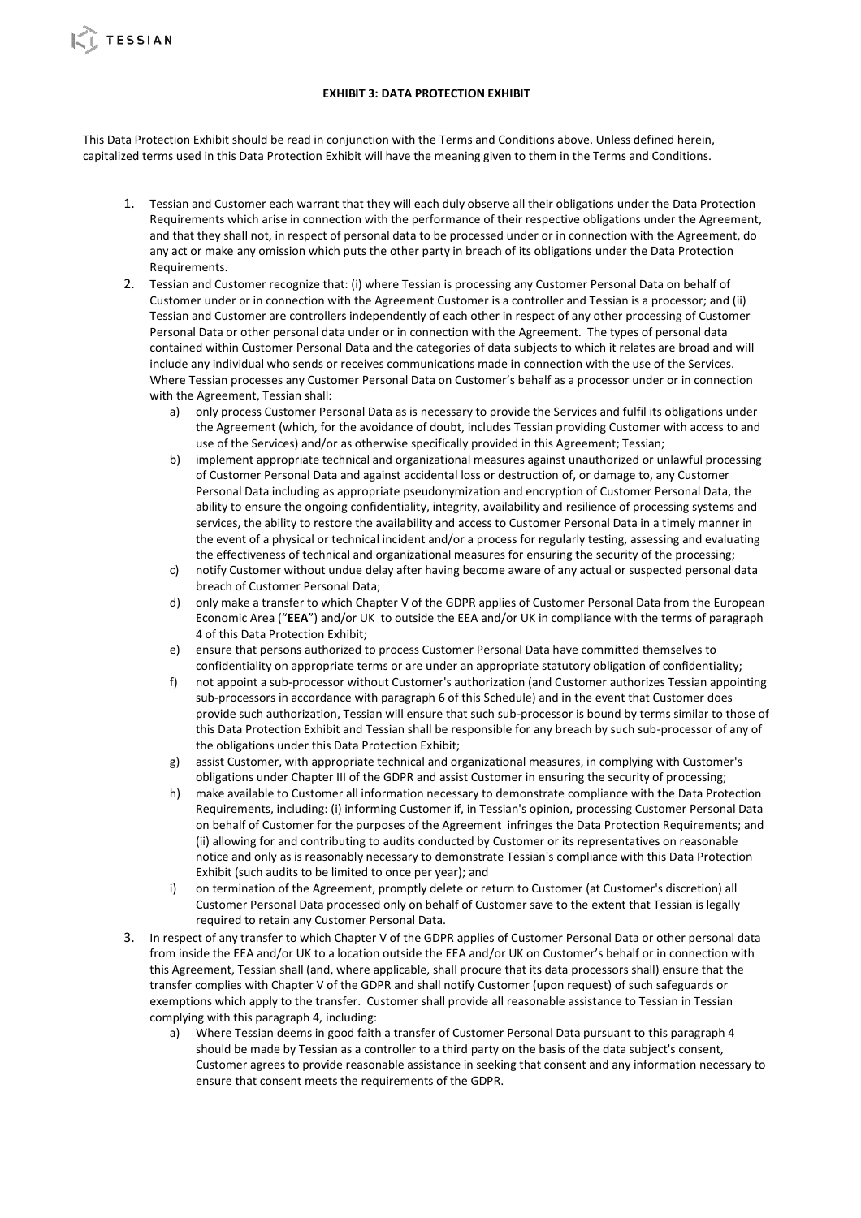This Data Protection Exhibit should be read in conjunction with the Terms and Conditions above. Unless defined herein, capitalized terms used in this Data Protection Exhibit will have the meaning given to them in the Terms and Conditions.

**TESSIAN** 

- 1. Tessian and Customer each warrant that they will each duly observe all their obligations under the Data Protection Requirements which arise in connection with the performance of their respective obligations under the Agreement, and that they shall not, in respect of personal data to be processed under or in connection with the Agreement, do any act or make any omission which puts the other party in breach of its obligations under the Data Protection Requirements.
- 2. Tessian and Customer recognize that: (i) where Tessian is processing any Customer Personal Data on behalf of Customer under or in connection with the Agreement Customer is a controller and Tessian is a processor; and (ii) Tessian and Customer are controllers independently of each other in respect of any other processing of Customer Personal Data or other personal data under or in connection with the Agreement. The types of personal data contained within Customer Personal Data and the categories of data subjects to which it relates are broad and will include any individual who sends or receives communications made in connection with the use of the Services. Where Tessian processes any Customer Personal Data on Customer's behalf as a processor under or in connection with the Agreement, Tessian shall:
	- a) only process Customer Personal Data as is necessary to provide the Services and fulfil its obligations under the Agreement (which, for the avoidance of doubt, includes Tessian providing Customer with access to and use of the Services) and/or as otherwise specifically provided in this Agreement; Tessian;
	- b) implement appropriate technical and organizational measures against unauthorized or unlawful processing of Customer Personal Data and against accidental loss or destruction of, or damage to, any Customer Personal Data including as appropriate pseudonymization and encryption of Customer Personal Data, the ability to ensure the ongoing confidentiality, integrity, availability and resilience of processing systems and services, the ability to restore the availability and access to Customer Personal Data in a timely manner in the event of a physical or technical incident and/or a process for regularly testing, assessing and evaluating the effectiveness of technical and organizational measures for ensuring the security of the processing;
	- c) notify Customer without undue delay after having become aware of any actual or suspected personal data breach of Customer Personal Data;
	- d) only make a transfer to which Chapter V of the GDPR applies of Customer Personal Data from the European Economic Area ("**EEA**") and/or UK to outside the EEA and/or UK in compliance with the terms of paragraph 4 of this Data Protection Exhibit;
	- e) ensure that persons authorized to process Customer Personal Data have committed themselves to confidentiality on appropriate terms or are under an appropriate statutory obligation of confidentiality;
	- f) not appoint a sub-processor without Customer's authorization (and Customer authorizes Tessian appointing sub-processors in accordance with paragraph 6 of this Schedule) and in the event that Customer does provide such authorization, Tessian will ensure that such sub-processor is bound by terms similar to those of this Data Protection Exhibit and Tessian shall be responsible for any breach by such sub-processor of any of the obligations under this Data Protection Exhibit;
	- g) assist Customer, with appropriate technical and organizational measures, in complying with Customer's obligations under Chapter III of the GDPR and assist Customer in ensuring the security of processing;
	- h) make available to Customer all information necessary to demonstrate compliance with the Data Protection Requirements, including: (i) informing Customer if, in Tessian's opinion, processing Customer Personal Data on behalf of Customer for the purposes of the Agreement infringes the Data Protection Requirements; and (ii) allowing for and contributing to audits conducted by Customer or its representatives on reasonable notice and only as is reasonably necessary to demonstrate Tessian's compliance with this Data Protection Exhibit (such audits to be limited to once per year); and
	- i) on termination of the Agreement, promptly delete or return to Customer (at Customer's discretion) all Customer Personal Data processed only on behalf of Customer save to the extent that Tessian is legally required to retain any Customer Personal Data.
- 3. In respect of any transfer to which Chapter V of the GDPR applies of Customer Personal Data or other personal data from inside the EEA and/or UK to a location outside the EEA and/or UK on Customer's behalf or in connection with this Agreement, Tessian shall (and, where applicable, shall procure that its data processors shall) ensure that the transfer complies with Chapter V of the GDPR and shall notify Customer (upon request) of such safeguards or exemptions which apply to the transfer. Customer shall provide all reasonable assistance to Tessian in Tessian complying with this paragraph 4, including:
	- a) Where Tessian deems in good faith a transfer of Customer Personal Data pursuant to this paragraph 4 should be made by Tessian as a controller to a third party on the basis of the data subject's consent, Customer agrees to provide reasonable assistance in seeking that consent and any information necessary to ensure that consent meets the requirements of the GDPR.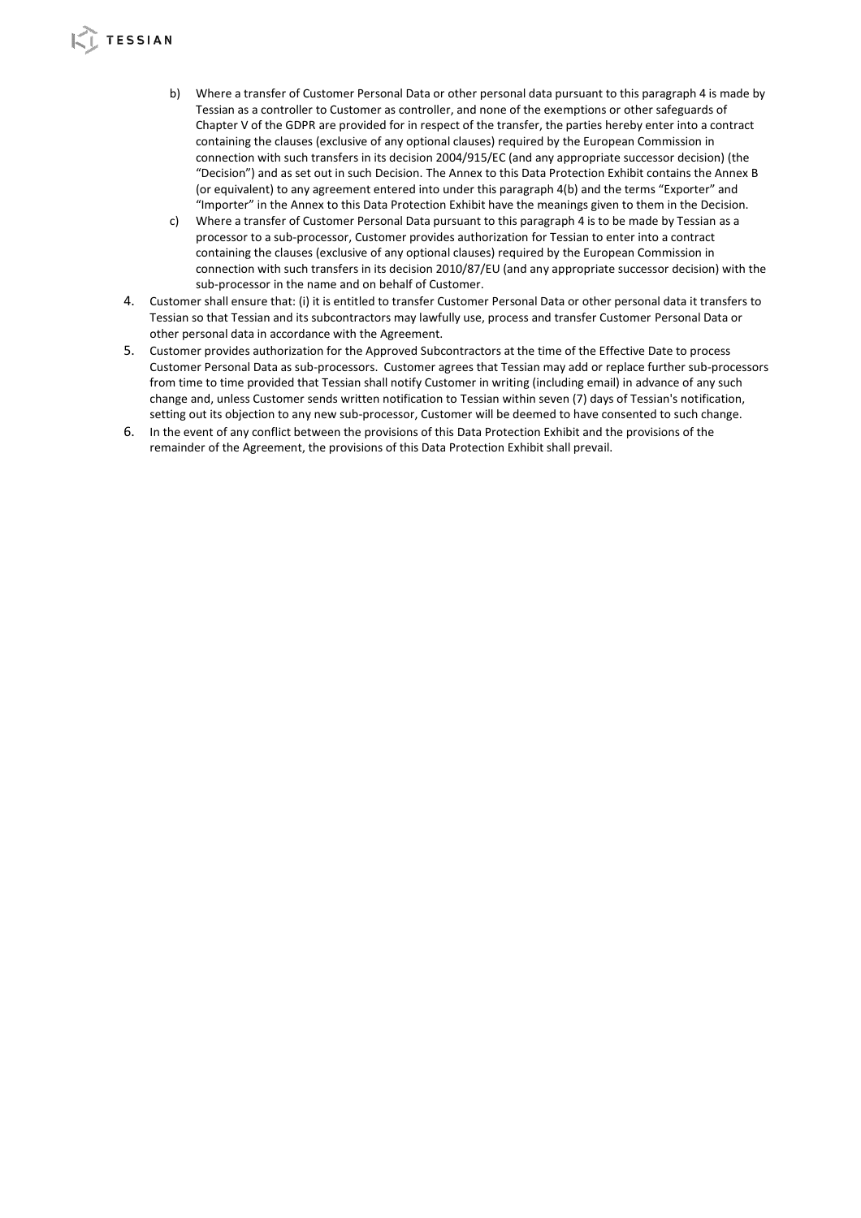# **TESSIAN**

- b) Where a transfer of Customer Personal Data or other personal data pursuant to this paragraph 4 is made by Tessian as a controller to Customer as controller, and none of the exemptions or other safeguards of Chapter V of the GDPR are provided for in respect of the transfer, the parties hereby enter into a contract containing the clauses (exclusive of any optional clauses) required by the European Commission in connection with such transfers in its decision 2004/915/EC (and any appropriate successor decision) (the "Decision") and as set out in such Decision. The Annex to this Data Protection Exhibit contains the Annex B (or equivalent) to any agreement entered into under this paragraph 4(b) and the terms "Exporter" and "Importer" in the Annex to this Data Protection Exhibit have the meanings given to them in the Decision.
- c) Where a transfer of Customer Personal Data pursuant to this paragraph 4 is to be made by Tessian as a processor to a sub-processor, Customer provides authorization for Tessian to enter into a contract containing the clauses (exclusive of any optional clauses) required by the European Commission in connection with such transfers in its decision 2010/87/EU (and any appropriate successor decision) with the sub-processor in the name and on behalf of Customer.
- 4. Customer shall ensure that: (i) it is entitled to transfer Customer Personal Data or other personal data it transfers to Tessian so that Tessian and its subcontractors may lawfully use, process and transfer Customer Personal Data or other personal data in accordance with the Agreement.
- 5. Customer provides authorization for the Approved Subcontractors at the time of the Effective Date to process Customer Personal Data as sub-processors. Customer agrees that Tessian may add or replace further sub-processors from time to time provided that Tessian shall notify Customer in writing (including email) in advance of any such change and, unless Customer sends written notification to Tessian within seven (7) days of Tessian's notification, setting out its objection to any new sub-processor, Customer will be deemed to have consented to such change.
- 6. In the event of any conflict between the provisions of this Data Protection Exhibit and the provisions of the remainder of the Agreement, the provisions of this Data Protection Exhibit shall prevail.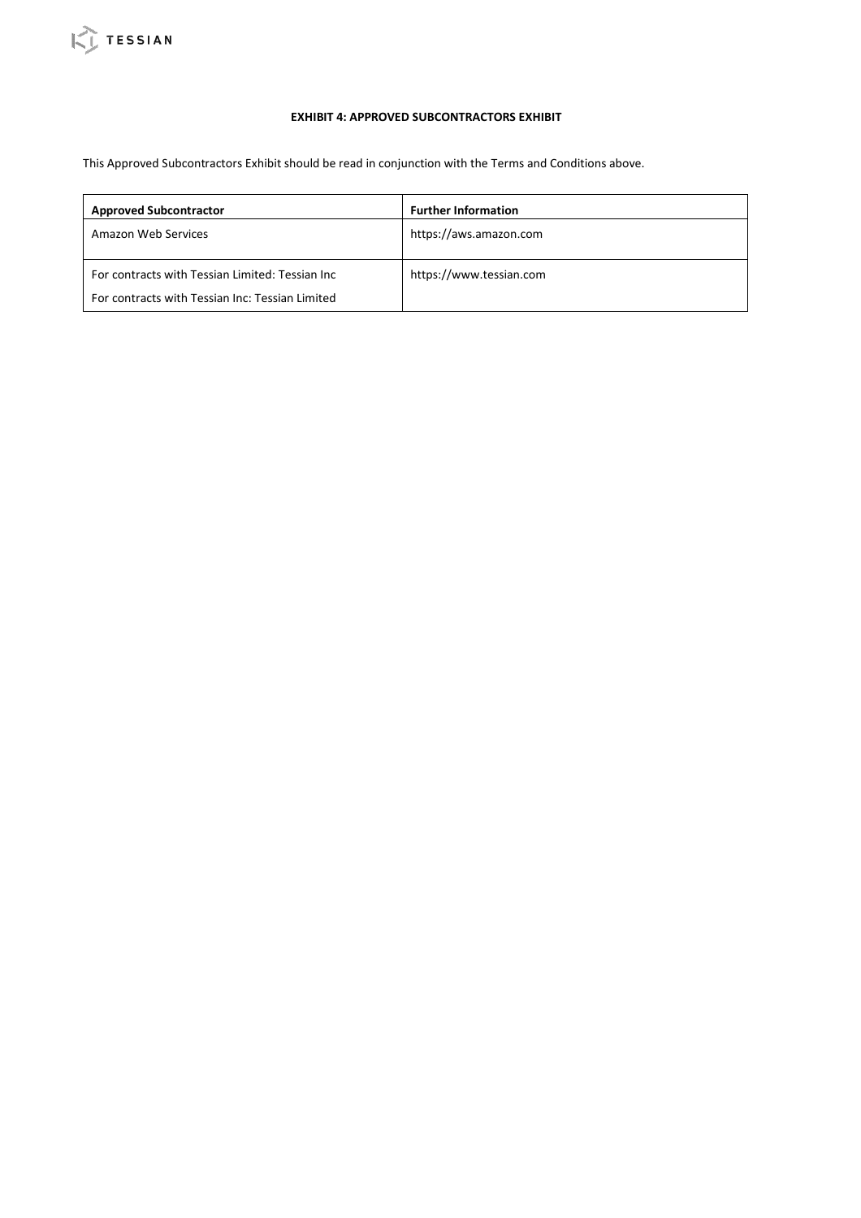# **EXHIBIT 4: APPROVED SUBCONTRACTORS EXHIBIT**

This Approved Subcontractors Exhibit should be read in conjunction with the Terms and Conditions above.

| <b>Approved Subcontractor</b>                                                                       | <b>Further Information</b> |
|-----------------------------------------------------------------------------------------------------|----------------------------|
| Amazon Web Services                                                                                 | https://aws.amazon.com     |
| For contracts with Tessian Limited: Tessian Inc.<br>For contracts with Tessian Inc: Tessian Limited | https://www.tessian.com    |